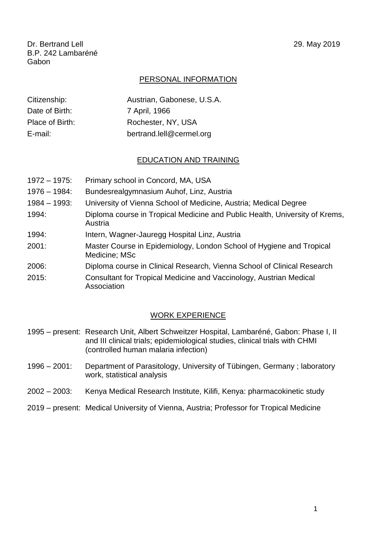Dr. Bertrand Lell 29. May 2019 B.P. 242 Lambaréné Gabon

## PERSONAL INFORMATION

| Citizenship:    | Austrian, Gabonese, U.S.A. |
|-----------------|----------------------------|
| Date of Birth:  | 7 April, 1966              |
| Place of Birth: | Rochester, NY, USA         |
| E-mail:         | bertrand.lell@cermel.org   |

## EDUCATION AND TRAINING

- 1972 1975: Primary school in Concord, MA, USA
- 1976 1984: Bundesrealgymnasium Auhof, Linz, Austria
- 1984 1993: University of Vienna School of Medicine, Austria; Medical Degree
- 1994: Diploma course in Tropical Medicine and Public Health, University of Krems, Austria
- 1994: Intern, Wagner-Jauregg Hospital Linz, Austria
- 2001: Master Course in Epidemiology, London School of Hygiene and Tropical Medicine; MSc
- 2006: Diploma course in Clinical Research, Vienna School of Clinical Research
- 2015: Consultant for Tropical Medicine and Vaccinology, Austrian Medical Association

## WORK EXPERIENCE

- 1995 present: Research Unit, Albert Schweitzer Hospital, Lambaréné, Gabon: Phase I, II and III clinical trials; epidemiological studies, clinical trials with CHMI (controlled human malaria infection)
- 1996 2001: Department of Parasitology, University of Tübingen, Germany ; laboratory work, statistical analysis
- 2002 2003: Kenya Medical Research Institute, Kilifi, Kenya: pharmacokinetic study
- 2019 present: Medical University of Vienna, Austria; Professor for Tropical Medicine